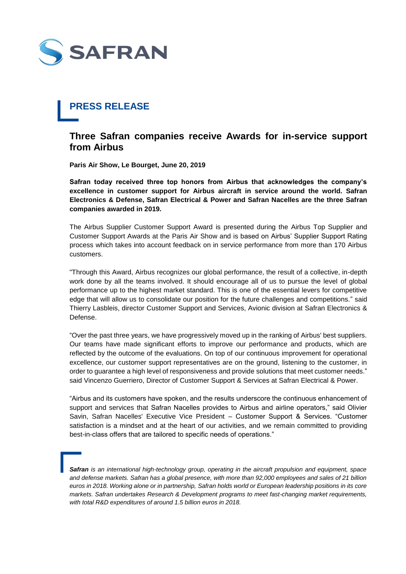

## **PRESS RELEASE**

## **Three Safran companies receive Awards for in-service support from Airbus**

**Paris Air Show, Le Bourget, June 20, 2019**

**Safran today received three top honors from Airbus that acknowledges the company's excellence in customer support for Airbus aircraft in service around the world. Safran Electronics & Defense, Safran Electrical & Power and Safran Nacelles are the three Safran companies awarded in 2019.**

The Airbus Supplier Customer Support Award is presented during the Airbus Top Supplier and Customer Support Awards at the Paris Air Show and is based on Airbus' Supplier Support Rating process which takes into account feedback on in service performance from more than 170 Airbus customers.

"Through this Award, Airbus recognizes our global performance, the result of a collective, in-depth work done by all the teams involved. It should encourage all of us to pursue the level of global performance up to the highest market standard. This is one of the essential levers for competitive edge that will allow us to consolidate our position for the future challenges and competitions." said Thierry Lasbleis, director Customer Support and Services, Avionic division at Safran Electronics & Defense.

"Over the past three years, we have progressively moved up in the ranking of Airbus' best suppliers. Our teams have made significant efforts to improve our performance and products, which are reflected by the outcome of the evaluations. On top of our continuous improvement for operational excellence, our customer support representatives are on the ground, listening to the customer, in order to guarantee a high level of responsiveness and provide solutions that meet customer needs." said Vincenzo Guerriero, Director of Customer Support & Services at Safran Electrical & Power.

"Airbus and its customers have spoken, and the results underscore the continuous enhancement of support and services that Safran Nacelles provides to Airbus and airline operators," said Olivier Savin, Safran Nacelles' Executive Vice President – Customer Support & Services. "Customer satisfaction is a mindset and at the heart of our activities, and we remain committed to providing best-in-class offers that are tailored to specific needs of operations."

*Safran is an international high-technology group, operating in the aircraft propulsion and equipment, space and defense markets. Safran has a global presence, with more than 92,000 employees and sales of 21 billion euros in 2018. Working alone or in partnership, Safran holds world or European leadership positions in its core markets. Safran undertakes Research & Development programs to meet fast-changing market requirements, with total R&D expenditures of around 1.5 billion euros in 2018.*